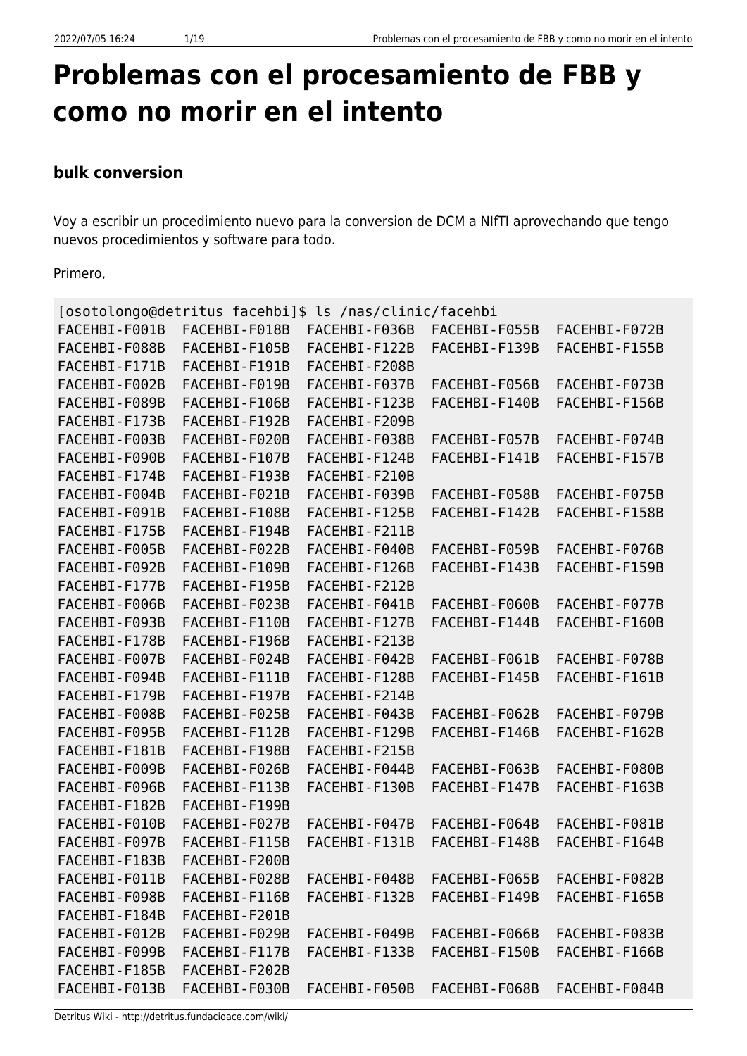# **Problemas con el procesamiento de FBB y como no morir en el intento**

# **bulk conversion**

Voy a escribir un procedimiento nuevo para la conversion de DCM a NIfTI aprovechando que tengo nuevos procedimientos y software para todo.

Primero,

| [osotolongo@detritus facehbi]\$ ls /nas/clinic/facehbi |               |               |               |               |  |
|--------------------------------------------------------|---------------|---------------|---------------|---------------|--|
| FACEHBI-F001B                                          | FACEHBI-F018B | FACEHBI-F036B | FACEHBI-F055B | FACEHBI-F072B |  |
| FACEHBI-F088B                                          | FACEHBI-F105B | FACEHBI-F122B | FACEHBI-F139B | FACEHBI-F155B |  |
| FACEHBI-F171B                                          | FACEHBI-F191B | FACEHBI-F208B |               |               |  |
| FACEHBI-F002B                                          | FACEHBI-F019B | FACEHBI-F037B | FACEHBI-F056B | FACEHBI-F073B |  |
| FACEHBI-F089B                                          | FACEHBI-F106B | FACEHBI-F123B | FACEHBI-F140B | FACEHBI-F156B |  |
| FACEHBI-F173B                                          | FACEHBI-F192B | FACEHBI-F209B |               |               |  |
| FACEHBI-F003B                                          | FACEHBI-F020B | FACEHBI-F038B | FACEHBI-F057B | FACEHBI-F074B |  |
| FACEHBI-F090B                                          | FACEHBI-F107B | FACEHBI-F124B | FACEHBI-F141B | FACEHBI-F157B |  |
| FACEHBI-F174B                                          | FACEHBI-F193B | FACEHBI-F210B |               |               |  |
| FACEHBI-F004B                                          | FACEHBI-F021B | FACEHBI-F039B | FACEHBI-F058B | FACEHBI-F075B |  |
| FACEHBI-F091B                                          | FACEHBI-F108B | FACEHBI-F125B | FACEHBI-F142B | FACEHBI-F158B |  |
| FACEHBI-F175B                                          | FACEHBI-F194B | FACEHBI-F211B |               |               |  |
| FACEHBI-F005B                                          | FACEHBI-F022B | FACEHBI-F040B | FACEHBI-F059B | FACEHBI-F076B |  |
| FACEHBI-F092B                                          | FACEHBI-F109B | FACEHBI-F126B | FACEHBI-F143B | FACEHBI-F159B |  |
| FACEHBI-F177B                                          | FACEHBI-F195B | FACEHBI-F212B |               |               |  |
| FACEHBI-F006B                                          | FACEHBI-F023B | FACEHBI-F041B | FACEHBI-F060B | FACEHBI-F077B |  |
| FACEHBI-F093B                                          | FACEHBI-F110B | FACEHBI-F127B | FACEHBI-F144B | FACEHBI-F160B |  |
| FACEHBI-F178B                                          | FACEHBI-F196B | FACEHBI-F213B |               |               |  |
| FACEHBI-F007B                                          | FACEHBI-F024B | FACEHBI-F042B | FACEHBI-F061B | FACEHBI-F078B |  |
| FACEHBI-F094B                                          | FACEHBI-F111B | FACEHBI-F128B | FACEHBI-F145B | FACEHBI-F161B |  |
| FACEHBI-F179B                                          | FACEHBI-F197B | FACEHBI-F214B |               |               |  |
| FACEHBI-F008B                                          | FACEHBI-F025B | FACEHBI-F043B | FACEHBI-F062B | FACEHBI-F079B |  |
| FACEHBI-F095B                                          | FACEHBI-F112B | FACEHBI-F129B | FACEHBI-F146B | FACEHBI-F162B |  |
| FACEHBI-F181B                                          | FACEHBI-F198B | FACEHBI-F215B |               |               |  |
| FACEHBI-F009B                                          | FACEHBI-F026B | FACEHBI-F044B | FACEHBI-F063B | FACEHBI-F080B |  |
| FACEHBI-F096B                                          | FACEHBI-F113B | FACEHBI-F130B | FACEHBI-F147B | FACEHBI-F163B |  |
| FACEHBI-F182B                                          | FACEHBI-F199B |               |               |               |  |
| FACEHBI-F010B                                          | FACEHBI-F027B | FACEHBI-F047B | FACEHBI-F064B | FACEHBI-F081B |  |
| FACEHBI-F097B                                          | FACEHBI-F115B | FACEHBI-F131B | FACEHBI-F148B | FACEHBI-F164B |  |
| FACEHBI-F183B                                          | FACEHBI-F200B |               |               |               |  |
| FACEHBI-F011B                                          | FACEHBI-F028B | FACEHBI-F048B | FACEHBI-F065B | FACEHBI-F082B |  |
| FACEHBI-F098B                                          | FACEHBI-F116B | FACEHBI-F132B | FACEHBI-F149B | FACEHBI-F165B |  |
| FACEHBI-F184B                                          | FACEHBI-F201B |               |               |               |  |
| FACEHBI-F012B                                          | FACEHBI-F029B | FACEHBI-F049B | FACEHBI-F066B | FACEHBI-F083B |  |
| FACEHBI-F099B                                          | FACEHBI-F117B | FACEHBI-F133B | FACEHBI-F150B | FACEHBI-F166B |  |
| FACEHBI-F185B                                          | FACEHBI-F202B |               |               |               |  |
| FACEHBI-F013B                                          | FACEHBI-F030B | FACEHBI-F050B | FACEHBI-F068B | FACEHBI-F084B |  |

Detritus Wiki - http://detritus.fundacioace.com/wiki/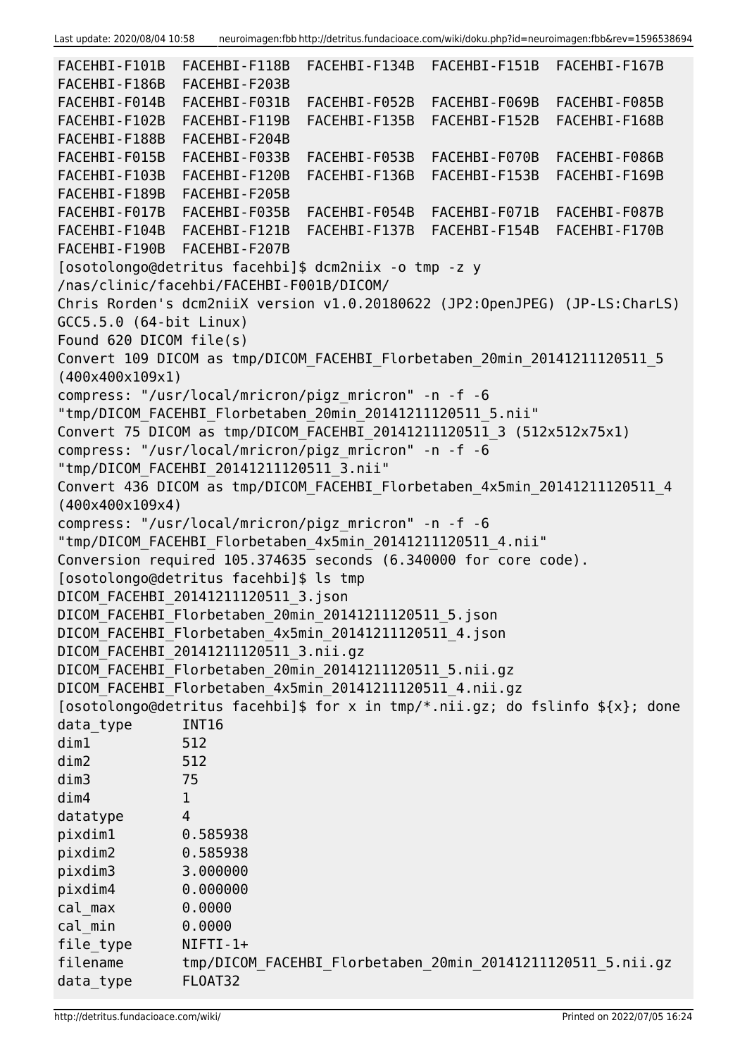```
FACEHBI-F101B FACEHBI-F118B FACEHBI-F134B FACEHBI-F151B FACEHBI-F167B
FACEHBI-F186B FACEHBI-F203B
FACEHBI-F014B FACEHBI-F031B FACEHBI-F052B FACEHBI-F069B FACEHBI-F085B
FACEHBI-F102B FACEHBI-F119B FACEHBI-F135B FACEHBI-F152B FACEHBI-F168B
FACEHBI-F188B FACEHBI-F204B
FACEHBI-F015B FACEHBI-F033B FACEHBI-F053B FACEHBI-F070B FACEHBI-F086B
FACEHBI-F103B FACEHBI-F120B FACEHBI-F136B FACEHBI-F153B FACEHBI-F169B
FACEHBI-F189B FACEHBI-F205B
FACEHBI-F017B FACEHBI-F035B FACEHBI-F054B FACEHBI-F071B FACEHBI-F087B
FACEHBI-F104B FACEHBI-F121B FACEHBI-F137B FACEHBI-F154B FACEHBI-F170B
FACEHBI-F190B FACEHBI-F207B
[osotolongo@detritus facehbi]$ dcm2niix -o tmp -z y
/nas/clinic/facehbi/FACEHBI-F001B/DICOM/
Chris Rorden's dcm2niiX version v1.0.20180622 (JP2:OpenJPEG) (JP-LS:CharLS)
GCC5.5.0 (64-bit Linux)
Found 620 DICOM file(s)
Convert 109 DICOM as tmp/DICOM_FACEHBI_Florbetaben_20min_20141211120511_5
(400x400x109x1)
compress: "/usr/local/mricron/pigz_mricron" -n -f -6
"tmp/DICOM FACEHBI Florbetaben 20min 20141211120511 5.nii"
Convert 75 DICOM as tmp/DICOM_FACEHBI_20141211120511_3 (512x512x75x1)
compress: "/usr/local/mricron/pigz_mricron" -n -f -6
"tmp/DICOM FACEHBI 20141211120511 3.nii"
Convert 436 DICOM as tmp/DICOM_FACEHBI_Florbetaben_4x5min_20141211120511_4
(400x400x109x4)
compress: "/usr/local/mricron/pigz_mricron" -n -f -6
"tmp/DICOM FACEHBI Florbetaben 4x5min 20141211120511 4.nii"
Conversion required 105.374635 seconds (6.340000 for core code).
[osotolongo@detritus facehbi]$ ls tmp
DICOM FACEHBI 20141211120511 3.json
DICOM_FACEHBI_Florbetaben_20min_20141211120511_5.json
DICOM FACEHBI Florbetaben 4x5min 20141211120511 4.json
DICOM_FACEHBI_20141211120511_3.nii.gz
DICOM_FACEHBI_Florbetaben_20min_20141211120511_5.nii.gz
DICOM FACEHBI Florbetaben 4x5min 20141211120511 4.nii.gz
[osotolongo@detritus facehbi]$ for x in tmp/*.nii.gz; do fslinfo ${x}; done
data type INT16
dim1 512
dim2 512
dim3 75
dim4 1
datatype 4
pixdim1 0.585938
pixdim2 0.585938
pixdim3 3.000000
pixdim4 0.000000
cal_max 0.0000
cal_min 0.0000
file_type NIFTI-1+
filename tmp/DICOM FACEHBI Florbetaben 20min 20141211120511 5.nii.gz
data type FLOAT32
```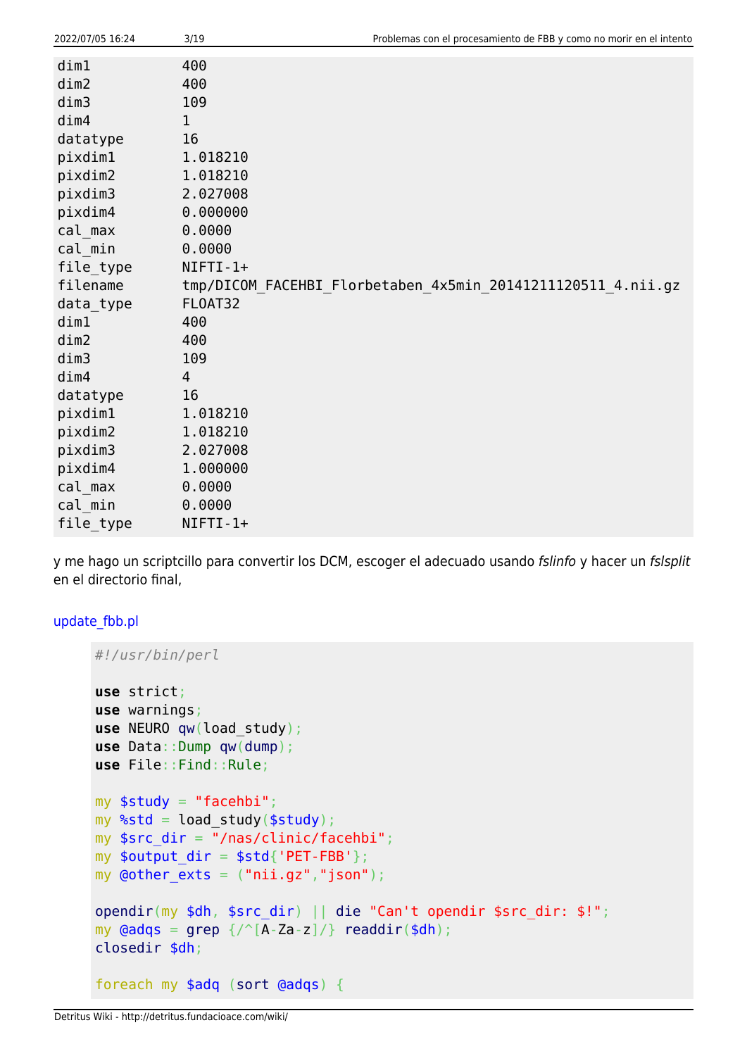| 2022/07/05 16:24 | 3/19       | Problemas con el procesamiento de FBB y como no morir en el intento |
|------------------|------------|---------------------------------------------------------------------|
| dim1             | 400        |                                                                     |
| dim2             | 400        |                                                                     |
| dim3             | 109        |                                                                     |
| dim4             | 1          |                                                                     |
| datatype         | 16         |                                                                     |
| pixdim1          | 1.018210   |                                                                     |
| pixdim2          | 1.018210   |                                                                     |
| pixdim3          | 2.027008   |                                                                     |
| pixdim4          | 0.000000   |                                                                     |
| cal max          | 0.0000     |                                                                     |
| cal min          | 0.0000     |                                                                     |
| file_type        | $NIFTI-1+$ |                                                                     |
| filename         |            | tmp/DICOM_FACEHBI_Florbetaben_4x5min_20141211120511_4.nii.gz        |
| data_type        | FLOAT32    |                                                                     |
| dim1             | 400        |                                                                     |
| dim2             | 400        |                                                                     |
| dim3             | 109        |                                                                     |
| dim4             | 4          |                                                                     |
| datatype         | 16         |                                                                     |
| pixdim1          | 1.018210   |                                                                     |
| pixdim2          | 1.018210   |                                                                     |
| pixdim3          | 2.027008   |                                                                     |
| pixdim4          | 1.000000   |                                                                     |
| cal max          | 0.0000     |                                                                     |
| cal min          | 0.0000     |                                                                     |
| file_type        | NIFTI-1+   |                                                                     |

y me hago un scriptcillo para convertir los DCM, escoger el adecuado usando fslinfo y hacer un fslsplit en el directorio final,

## [update\\_fbb.pl](http://detritus.fundacioace.com/wiki/doku.php?do=export_code&id=neuroimagen:fbb&codeblock=1)

```
#!/usr/bin/perl
use strict;
use warnings;
use NEURO qw(load_study);
use Data::Dump qw(dump);
use File::Find::Rule;
my $study = "facehbi";my %std = load_study($study);
my $src dir = "/nas/clinic/facehbi";my $output dir = $std{'}}'PET-FBB'};
my \phiother exts = ("nii.gz","json");
opendir(my $dh, $src_dir) || die "Can't opendir $src_dir: $!";
my grep \ {/\textdegree} [A-Za-z]/\}readdir($dh);
closedir $dh;
foreach my $adq (sort @adqs) {
```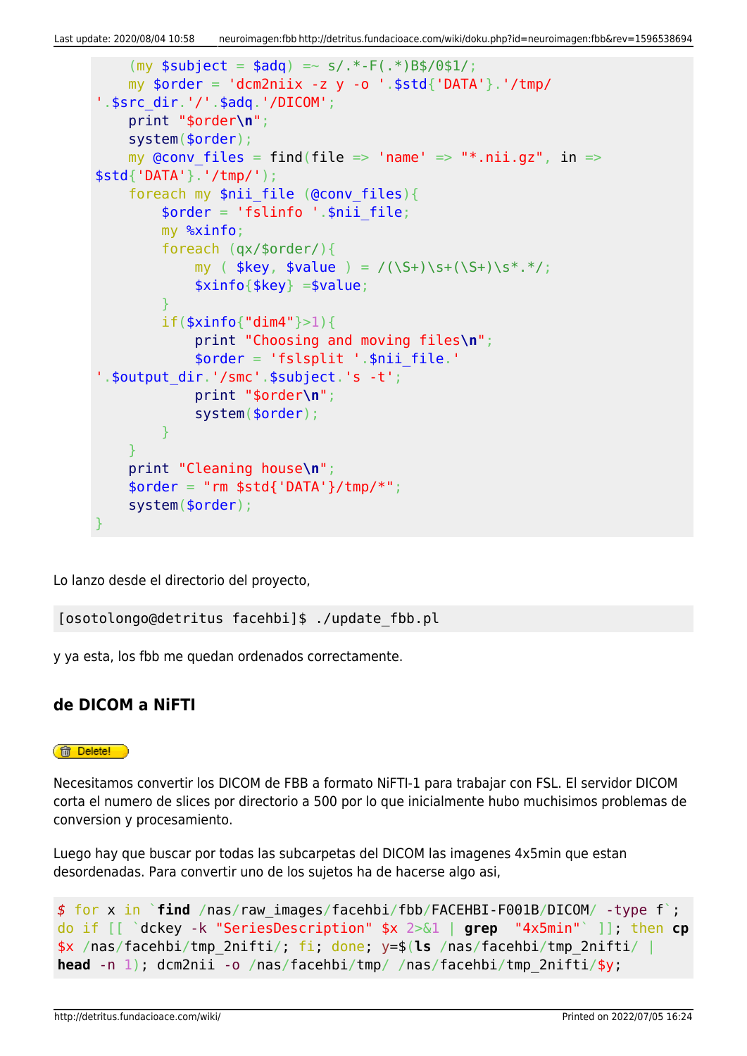```
(mv soubiect = sada) = ~ s/.* - F(.*)Bs/0s1/;
    my $order = 'dem2niix -z y -o '.*std{'DATA'}}.' /tmp/'.$src_dir.'/'.$adq.'/DICOM';
     print "$order\n";
     system($order);
    my @conv files = find(file => 'name' => "*.nii.gz", in =>
$std{'DATA'}.'/tmp/');
    foreach my $nii file (@conv files){
        \text{border} = 'fslinfo ' . \text{snii file}; my %xinfo;
         foreach (qx/$order/){
            my ( $key, $value ) = /(\S+)\s+(\S+)\s+.*,'; $xinfo{$key} =$value;
 }
         if($xinfo{"dim4"}>1){
             print "Choosing and moving files\n";
             $order = 'fslsplit '.$nii_file.'
'.$output_dir.'/smc'.$subject.'s -t';
             print "$order\n";
             system($order);
         }
 }
     print "Cleaning house\n";
    $order = "rm $std{'}}DATA'}/tmp/*";
     system($order);
}
```
Lo lanzo desde el directorio del proyecto,

[osotolongo@detritus facehbi]\$ ./update\_fbb.pl

y ya esta, los fbb me quedan ordenados correctamente.

# **de DICOM a NiFTI**

#### **ff** Delete!

Necesitamos convertir los DICOM de FBB a formato NiFTI-1 para trabajar con FSL. El servidor DICOM corta el numero de slices por directorio a 500 por lo que inicialmente hubo muchisimos problemas de conversion y procesamiento.

Luego hay que buscar por todas las subcarpetas del DICOM las imagenes 4x5min que estan desordenadas. Para convertir uno de los sujetos ha de hacerse algo asi,

```
$ for x in `find /nas/raw_images/facehbi/fbb/FACEHBI-F001B/DICOM/ -type f`;
do if [[ `dckey -k "SeriesDescription" $x 2>&1 | grep "4x5min"` ]]; then cp
$x /nas/facehbi/tmp_2nifti/; fi; done; y=$(ls /nas/facehbi/tmp_2nifti/ |
head -n 1); dcm2nii -o /nas/facehbi/tmp/ /nas/facehbi/tmp_2nifti/$y;
```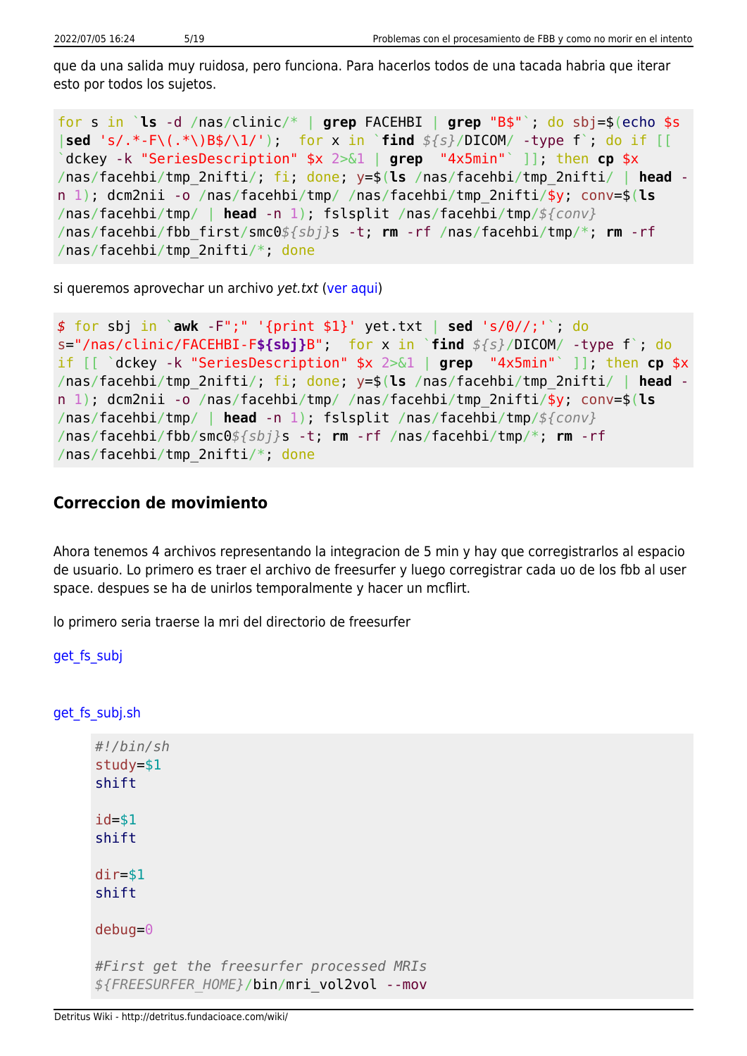que da una salida muy ruidosa, pero funciona. Para hacerlos todos de una tacada habria que iterar esto por todos los sujetos.

for s in `**ls** -d /nas/clinic/\* | **grep** FACEHBI | **grep** "B\$"`; do sbj=\$(echo \$s |**sed** 's/.\*-F\(.\*\)B\$/\1/'); for x in `**find** *\${s}*/DICOM/ -type f`; do if [[ `dckey -k "SeriesDescription" \$x 2>&1 | **grep** "4x5min"` ]]; then **cp** \$x /nas/facehbi/tmp\_2nifti/; fi; done; y=\$(**ls** /nas/facehbi/tmp\_2nifti/ | **head** n 1); dcm2nii -o /nas/facehbi/tmp/ /nas/facehbi/tmp\_2nifti/\$y; conv=\$(**ls** /nas/facehbi/tmp/ | **head** -n 1); fslsplit /nas/facehbi/tmp/*\${conv}* /nas/facehbi/fbb\_first/smc0*\${sbj}*s -t; **rm** -rf /nas/facehbi/tmp/\*; **rm** -rf /nas/facehbi/tmp\_2nifti/\*; done

si queremos aprovechar un archivo yet.txt ([ver aqui](http://detritus.fundacioace.com/wiki/doku.php?id=neuroimagen:facehbi))

```
$ for sbj in `awk -F";" '{print $1}' yet.txt | sed 's/0//;'`; do
s="/nas/clinic/FACEHBI-F${sbj}B"; for x in `find ${s}/DICOM/ -type f`; do
if [[ `dckey -k "SeriesDescription" $x 2>&1 | grep "4x5min"` ]]; then cp $x
/nas/facehbi/tmp_2nifti/; fi; done; y=$(ls /nas/facehbi/tmp_2nifti/ | head -
n 1); dcm2nii -o /nas/facehbi/tmp/ /nas/facehbi/tmp_2nifti/$y; conv=$(ls
/nas/facehbi/tmp/ | head -n 1); fslsplit /nas/facehbi/tmp/${conv}
/nas/facehbi/fbb/smc0${sbj}s -t; rm -rf /nas/facehbi/tmp/*; rm -rf
/nas/facehbi/tmp_2nifti/*; done
```
#### **Correccion de movimiento**

Ahora tenemos 4 archivos representando la integracion de 5 min y hay que corregistrarlos al espacio de usuario. Lo primero es traer el archivo de freesurfer y luego corregistrar cada uo de los fbb al user space. despues se ha de unirlos temporalmente y hacer un mcflirt.

lo primero seria traerse la mri del directorio de freesurfer

```
get fs subj
```
get fs subj.sh

```
#!/bin/sh
study=$1
shift
id = $1shift
dir=$1
shift
debug=0
#First get the freesurfer processed MRIs
${FREESURFER_HOME}/bin/mri_vol2vol --mov
```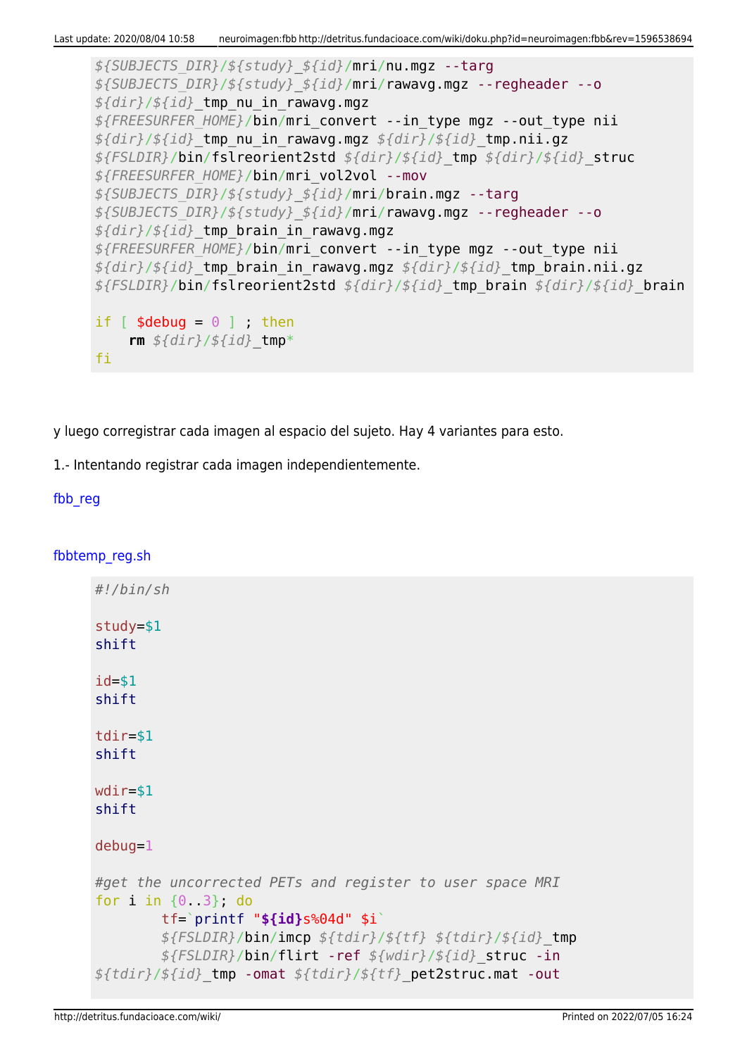*\${SUBJECTS\_DIR}*/*\${study}*\_*\${id}*/mri/nu.mgz --targ *\${SUBJECTS\_DIR}*/*\${study}*\_*\${id}*/mri/rawavg.mgz --regheader --o *\${dir}*/*\${id}*\_tmp\_nu\_in\_rawavg.mgz *\${FREESURFER\_HOME}*/bin/mri\_convert --in\_type mgz --out\_type nii *\${dir}*/*\${id}*\_tmp\_nu\_in\_rawavg.mgz *\${dir}*/*\${id}*\_tmp.nii.gz *\${FSLDIR}*/bin/fslreorient2std *\${dir}*/*\${id}*\_tmp *\${dir}*/*\${id}*\_struc *\${FREESURFER\_HOME}*/bin/mri\_vol2vol --mov *\${SUBJECTS\_DIR}*/*\${study}*\_*\${id}*/mri/brain.mgz --targ *\${SUBJECTS\_DIR}*/*\${study}*\_*\${id}*/mri/rawavg.mgz --regheader --o *\${dir}*/*\${id}*\_tmp\_brain\_in\_rawavg.mgz *\${FREESURFER\_HOME}*/bin/mri\_convert --in\_type mgz --out\_type nii *\${dir}*/*\${id}*\_tmp\_brain\_in\_rawavg.mgz *\${dir}*/*\${id}*\_tmp\_brain.nii.gz *\${FSLDIR}*/bin/fslreorient2std *\${dir}*/*\${id}*\_tmp\_brain *\${dir}*/*\${id}*\_brain if  $[$  \$debug =  $\theta$  ] ; then **rm** *\${dir}*/*\${id}*\_tmp\* fi

y luego corregistrar cada imagen al espacio del sujeto. Hay 4 variantes para esto.

1.- Intentando registrar cada imagen independientemente.

## fbb reg

#### fbbtemp reg.sh

| #!/bin/sh                                                                                                                                                                                              |
|--------------------------------------------------------------------------------------------------------------------------------------------------------------------------------------------------------|
| $study = $1$<br>shift                                                                                                                                                                                  |
| $id = $1$<br>shift                                                                                                                                                                                     |
| $tdir = $1$<br>shift                                                                                                                                                                                   |
| $wdir = $1$<br>shift                                                                                                                                                                                   |
| $debug=1$                                                                                                                                                                                              |
| #get the uncorrected PETs and register to user space MRI<br>for $i$ in $\{0, 3\}$ , do<br>$tf='printf$ "\$ $\{id\}s$ %04d" \$i`<br>$${FSLDIR}/bin/inn$ $${tdir}/${tf}$ $${tdir}/${tf}$ $${tdir}/${gl}$ |
| \${FSLDIR}/bin/flirt -ref \${wdir}/\${id}_struc -in<br>\${tdir}/\${id}_tmp -omat \${tdir}/\${tf}_pet2struc.mat -out                                                                                    |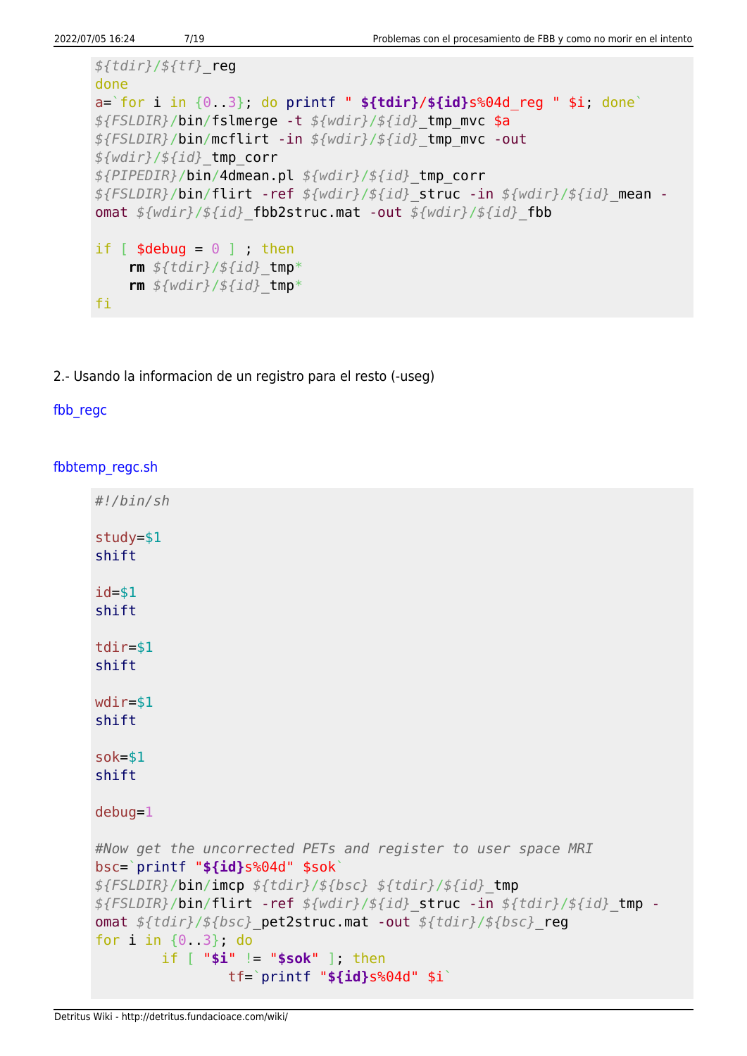```
${tdir}/${tf}_reg
done
a=`for i in {0..3}; do printf " ${tdir}/${id}s%04d_reg " $i; done`
${FSLDIR}/bin/fslmerge -t ${wdir}/${id}_tmp_mvc $a
${FSLDIR}/bin/mcflirt -in ${wdir}/${id}_tmp_mvc -out
${wdir}/${id}_tmp_corr
${PIPEDIR}/bin/4dmean.pl ${wdir}/${id}_tmp_corr
${FSLDIR}/bin/flirt -ref ${wdir}/${id}_struc -in ${wdir}/${id}_mean -
omat ${wdir}/${id}_fbb2struc.mat -out ${wdir}/${id}_fbb
if \lceil $debug = \theta \rceil ; then
     rm ${tdir}/${id}_tmp*
     rm ${wdir}/${id}_tmp*
fi
```
2.- Usando la informacion de un registro para el resto (-useg)

## fbb regc

[fbbtemp\\_regc.sh](http://detritus.fundacioace.com/wiki/doku.php?do=export_code&id=neuroimagen:fbb&codeblock=8)

```
#!/bin/sh
study=$1
shift
id=$1
shift
tdir=$1
shift
wdir=$1
shift
sok=$1
shift
debug=1
#Now get the uncorrected PETs and register to user space MRI
bsc=`printf "${id}s%04d" $sok`
${FSLDIR}/bin/imcp ${tdir}/${bsc} ${tdir}/${id}_tmp
${FSLDIR}/bin/flirt -ref ${wdir}/${id}_struc -in ${tdir}/${id}_tmp -
omat ${tdir}/${bsc}_pet2struc.mat -out ${tdir}/${bsc}_reg
for i in {0..3}; do
         if [ "$i" != "$sok" ]; then
                 tf=`printf "${id}s%04d" $i`
```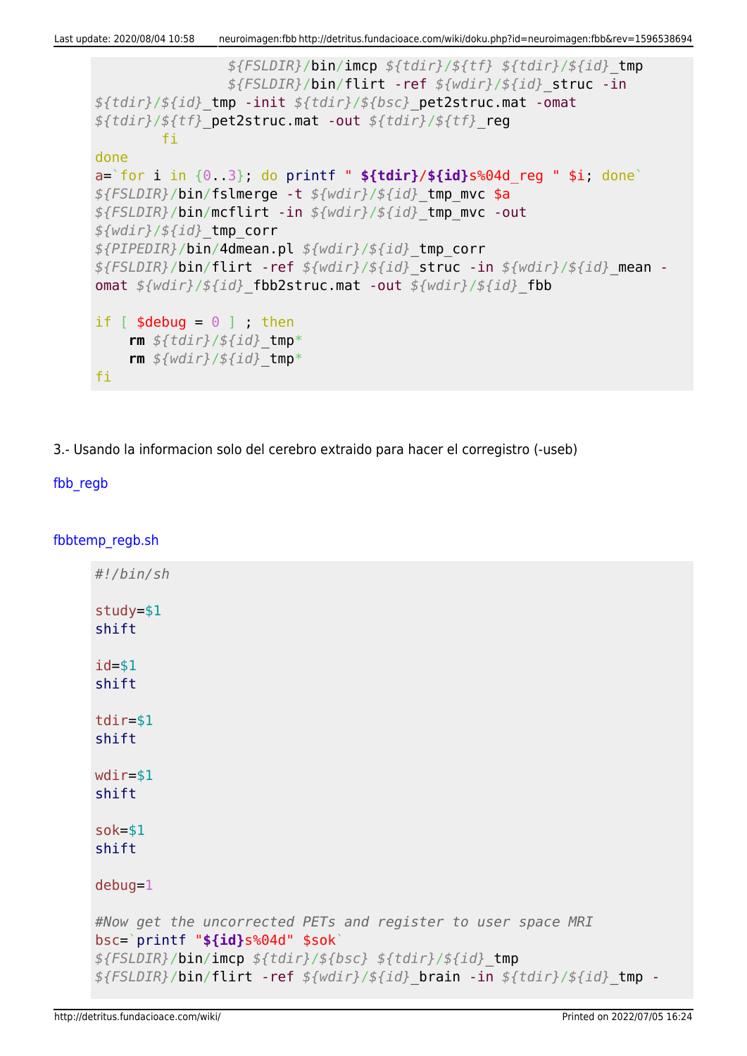```
 ${FSLDIR}/bin/imcp ${tdir}/${tf} ${tdir}/${id}_tmp
                 ${FSLDIR}/bin/flirt -ref ${wdir}/${id}_struc -in
${tdir}/${id}_tmp -init ${tdir}/${bsc}_pet2struc.mat -omat
${tdir}/${tf}_pet2struc.mat -out ${tdir}/${tf}_reg
         fi
done
a=`for i in {0..3}; do printf " ${tdir}/${id}s%04d_reg " $i; done`
${FSLDIR}/bin/fslmerge -t ${wdir}/${id}_tmp_mvc $a
${FSLDIR}/bin/mcflirt -in ${wdir}/${id}_tmp_mvc -out
${wdir}/${id}_tmp_corr
${PIPEDIR}/bin/4dmean.pl ${wdir}/${id}_tmp_corr
${FSLDIR}/bin/flirt -ref ${wdir}/${id}_struc -in ${wdir}/${id}_mean -
omat ${wdir}/${id}_fbb2struc.mat -out ${wdir}/${id}_fbb
if [ $debug = \theta ] ; then
     rm ${tdir}/${id}_tmp*
     rm ${wdir}/${id}_tmp*
fi
```
3.- Usando la informacion solo del cerebro extraido para hacer el corregistro (-useb)

## [fbb\\_regb](#page--1-0)

[fbbtemp\\_regb.sh](http://detritus.fundacioace.com/wiki/doku.php?do=export_code&id=neuroimagen:fbb&codeblock=9)

```
#!/bin/sh
study=$1
shift
id=$1
shift
tdir=$1
shift
wdir=$1
shift
sok=$1
shift
debug=1
#Now get the uncorrected PETs and register to user space MRI
bsc=`printf "${id}s%04d" $sok`
${FSLDIR}/bin/imcp ${tdir}/${bsc} ${tdir}/${id}_tmp
${FSLDIR}/bin/flirt -ref ${wdir}/${id}_brain -in ${tdir}/${id}_tmp -
```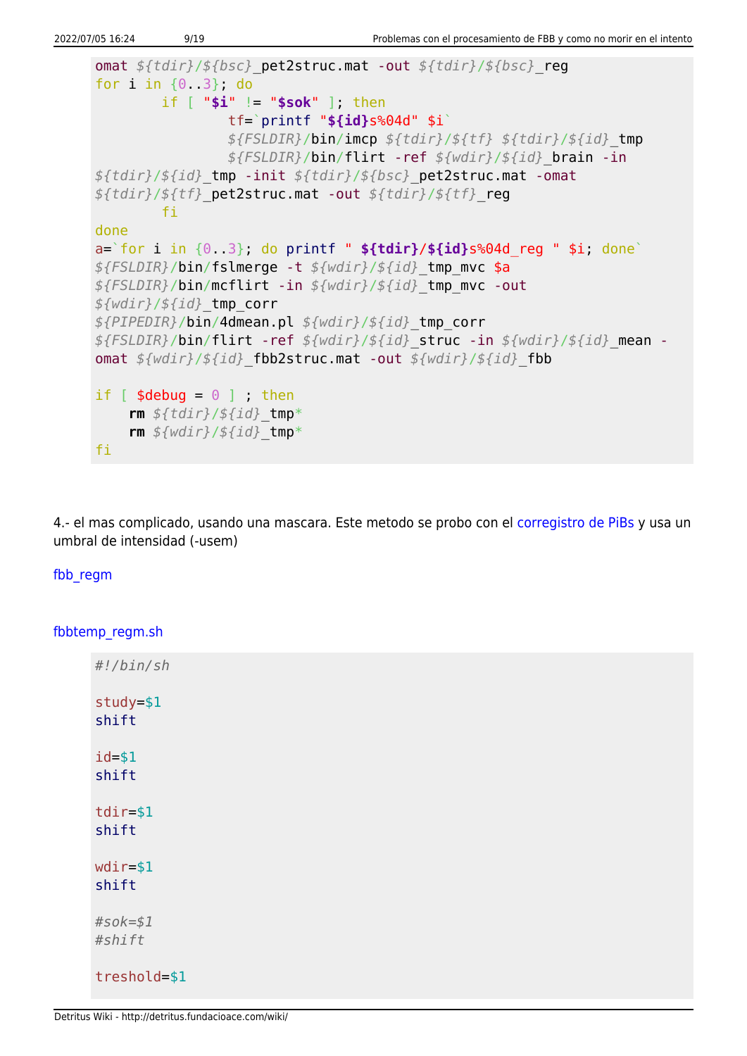```
omat ${tdir}/${bsc}_pet2struc.mat -out ${tdir}/${bsc}_reg
for i in {0..3}; do
         if [ "$i" != "$sok" ]; then
                 tf=`printf "${id}s%04d" $i`
                 ${FSLDIR}/bin/imcp ${tdir}/${tf} ${tdir}/${id}_tmp
                 ${FSLDIR}/bin/flirt -ref ${wdir}/${id}_brain -in
${tdir}/${id}_tmp -init ${tdir}/${bsc}_pet2struc.mat -omat
${tdir}/${tf}_pet2struc.mat -out ${tdir}/${tf}_reg
         fi
done
a=`for i in {0..3}; do printf " ${tdir}/${id}s%04d_reg " $i; done`
${FSLDIR}/bin/fslmerge -t ${wdir}/${id}_tmp_mvc $a
${FSLDIR}/bin/mcflirt -in ${wdir}/${id}_tmp_mvc -out
${wdir}/${id}_tmp_corr
${PIPEDIR}/bin/4dmean.pl ${wdir}/${id}_tmp_corr
${FSLDIR}/bin/flirt -ref ${wdir}/${id}_struc -in ${wdir}/${id}_mean -
omat ${wdir}/${id}_fbb2struc.mat -out ${wdir}/${id}_fbb
if \lceil $debug = \theta \rceil ; then
     rm ${tdir}/${id}_tmp*
     rm ${wdir}/${id}_tmp*
fi
```
4.- el mas complicado, usando una mascara. Este metodo se probo con el [corregistro de PiBs](http://detritus.fundacioace.com/wiki/doku.php?id=neuroimagen:pib_troubles) y usa un umbral de intensidad (-usem)

#### [fbb\\_regm](#page--1-0)

fbbtemp regm.sh

| #!/bin/sh             |
|-----------------------|
| $study = $1$<br>shift |
| $id = $1$<br>shift    |
| $tdir = $1$<br>shift  |
| $wdir = $1$<br>shift  |
| $#s$ ok=\$1<br>#shift |
| treshold=\$1          |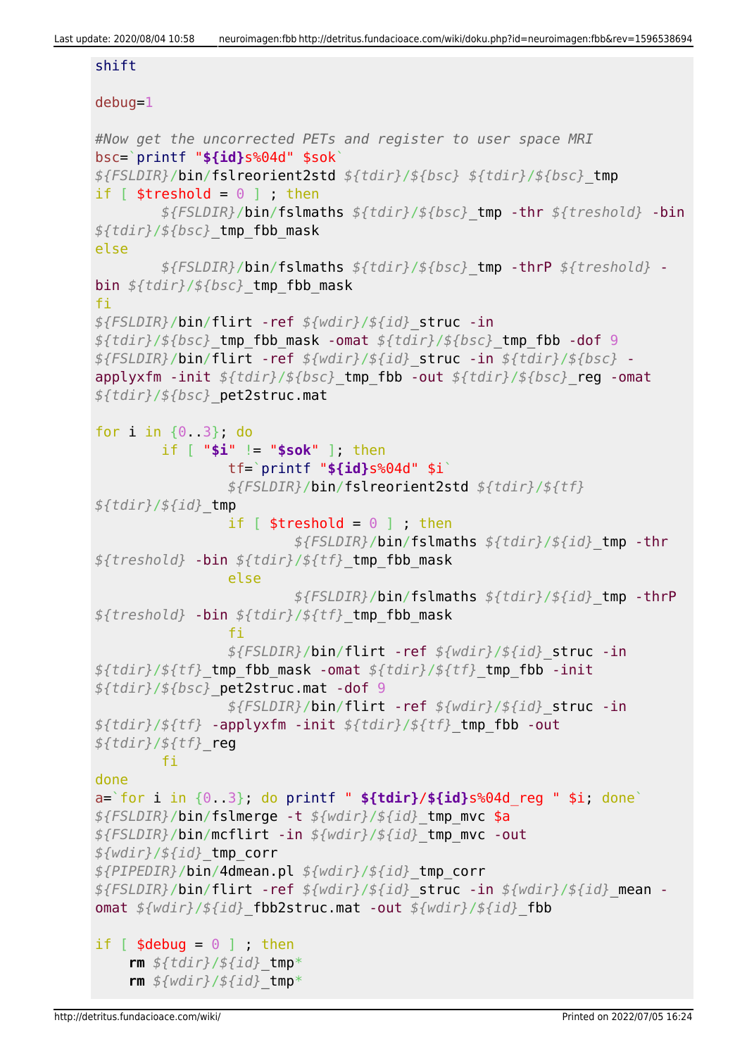#### shift

#### debug=1

```
#Now get the uncorrected PETs and register to user space MRI
bsc=`printf "${id}s%04d" $sok`
${FSLDIR}/bin/fslreorient2std ${tdir}/${bsc} ${tdir}/${bsc}_tmp
if [ $treshold = 0 ] ; then
         ${FSLDIR}/bin/fslmaths ${tdir}/${bsc}_tmp -thr ${treshold} -bin
${tdir}/${bsc}_tmp_fbb_mask
else
         ${FSLDIR}/bin/fslmaths ${tdir}/${bsc}_tmp -thrP ${treshold} -
bin ${tdir}/${bsc}_tmp_fbb_mask
fi
${FSLDIR}/bin/flirt -ref ${wdir}/${id}_struc -in
${tdir}/${bsc}_tmp_fbb_mask -omat ${tdir}/${bsc}_tmp_fbb -dof 9
${FSLDIR}/bin/flirt -ref ${wdir}/${id}_struc -in ${tdir}/${bsc} -
applyxfm -init ${tdir}/${bsc}_tmp_fbb -out ${tdir}/${bsc}_reg -omat
${tdir}/${bsc}_pet2struc.mat
for i in {0..3}; do
         if [ "$i" != "$sok" ]; then
                 tf=`printf "${id}s%04d" $i`
                 ${FSLDIR}/bin/fslreorient2std ${tdir}/${tf}
${tdir}/${id}_tmp
                if \lceil $treshold = \theta \rceil ; then
                          ${FSLDIR}/bin/fslmaths ${tdir}/${id}_tmp -thr
${treshold} -bin ${tdir}/${tf}_tmp_fbb_mask
                 else
                          ${FSLDIR}/bin/fslmaths ${tdir}/${id}_tmp -thrP
${treshold} -bin ${tdir}/${tf}_tmp_fbb_mask
film and the film of the film
                 ${FSLDIR}/bin/flirt -ref ${wdir}/${id}_struc -in
${tdir}/${tf}_tmp_fbb_mask -omat ${tdir}/${tf}_tmp_fbb -init
${tdir}/${bsc}_pet2struc.mat -dof 9
                 ${FSLDIR}/bin/flirt -ref ${wdir}/${id}_struc -in
${tdir}/${tf} -applyxfm -init ${tdir}/${tf}_tmp_fbb -out
${tdir}/${tf}_reg
         fi
done
a=`for i in {0..3}; do printf " ${tdir}/${id}s%04d_reg " $i; done`
${FSLDIR}/bin/fslmerge -t ${wdir}/${id}_tmp_mvc $a
${FSLDIR}/bin/mcflirt -in ${wdir}/${id}_tmp_mvc -out
${wdir}/${id}_tmp_corr
${PIPEDIR}/bin/4dmean.pl ${wdir}/${id}_tmp_corr
${FSLDIR}/bin/flirt -ref ${wdir}/${id}_struc -in ${wdir}/${id}_mean -
omat ${wdir}/${id}_fbb2struc.mat -out ${wdir}/${id}_fbb
if \lceil $debug = \theta \rceil ; then
     rm ${tdir}/${id}_tmp*
     rm ${wdir}/${id}_tmp*
```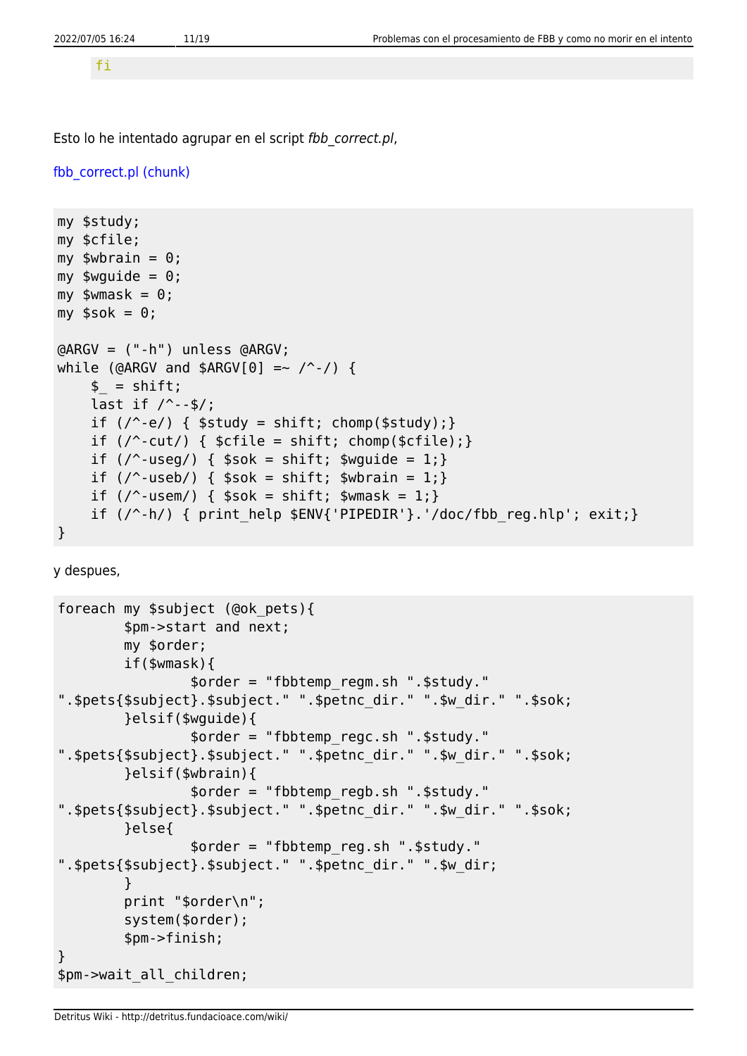fi

Esto lo he intentado agrupar en el script fbb correct.pl,

```
fbb correct.pl (chunk)
```

```
my $study;
my $cfile;
my $wbrain = 0;
my \text{wguide} = 0;
my $wmask = \theta;
my $sok = 0;
@ARGV = ("-h") unless @ARGV;
while (@ARGV and $ARGV[0] =~ \wedge -/) {
     $ = shift;last if / --$/;
     if (\wedge^2-e) { $study = shift; chomp($study); }
     if \left(\frac{\ }{2}\right) { \left(\frac{\ }{2}\right) { \left(\frac{\ }{2}\right) = shift; chomp(\left(\frac{\ }{2}\right)); }
     if \left(\frac{\ }{2}\right) { \frac{\ }{2} sok = shift; \frac{\ }{2} swquide = 1; }
     if \left(\frac{\ }{2} \right) { \frac{\ }{2} $sok = shift; $wbrain = 1; }
     if (\sqrt{2} - u \sin x) { \sin x = \sin x + u \sin x }
     if (\frac{\ }{2}) { print help $ENV{'PIPEDIR'}.'/doc/fbb reg.hlp'; exit;}
}
```
y despues,

```
foreach my $subject (@ok_pets){
         $pm->start and next;
         my $order;
         if($wmask){
                 $order = "fbbtemp_regm.sh ".$study."
".$pets{$subject}.$subject." ".$petnc_dir." ".$w_dir." ".$sok;
         }elsif($wguide){
                 $order = "fbbtemp_regc.sh ".$study."
".$pets{$subject}.$subject." ".$petnc_dir." ".$w_dir." ".$sok;
         }elsif($wbrain){
                 $order = "fbbtemp_regb.sh ".$study."
".$pets{$subject}.$subject." ".$petnc_dir." ".$w_dir." ".$sok;
         }else{
                 $order = "fbbtemp_reg.sh ".$study."
".$pets{$subject}.$subject." ".$petnc_dir." ".$w_dir;
 }
         print "$order\n";
         system($order);
         $pm->finish;
}
$pm->wait_all_children;
```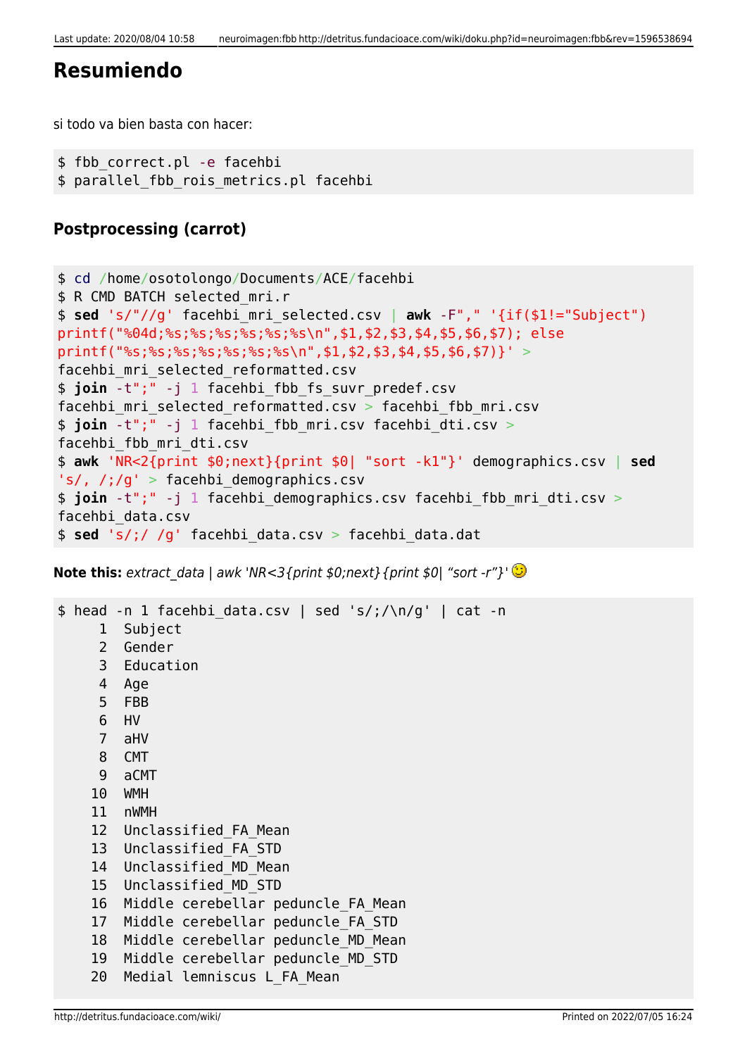# **Resumiendo**

si todo va bien basta con hacer:

```
$ fbb_correct.pl -e facehbi
$ parallel fbb rois metrics.pl facehbi
```
# **Postprocessing (carrot)**

```
$ cd /home/osotolongo/Documents/ACE/facehbi
$ R CMD BATCH selected_mri.r
$ sed 's/"//g' facehbi_mri_selected.csv | awk -F"," '{if($1!="Subject")
printf("%04d;%s;%s;%s;%s;%s;%s\n",$1,$2,$3,$4,$5,$6,$7); else
printf("%s;%s;%s;%s;%s;%s\n",$1,$2,$3,$4,$5,$6,$7)}' >
facehbi_mri_selected_reformatted.csv
$ join -t";" -j 1 facehbi_fbb_fs_suvr_predef.csv
facehbi mri selected reformatted.csv > facehbi fbb mri.csv
$ join -t";" -j 1 facehbi_fbb_mri.csv facehbi_dti.csv >
facehbi_fbb_mri_dti.csv
$ awk 'NR<2{print $0;next}{print $0| "sort -k1"}' demographics.csv | sed
's/, /;/g' > facehbi demographics.csv
$ join -t";" -j 1 facehbi demographics.csv facehbi fbb mri dti.csv >
facehbi_data.csv
$ sed 's/;/ /g' facehbi_data.csv > facehbi_data.dat
```
**Note this:** extract data | awk 'NR<3{print  $$0;$ next}{print  $$0|$  "sort -r"}'  $\bigcirc$ 

```
$ head -n 1 facehbi data.csv | sed 's/;/\n/q' | cat -n 1 Subject
     2 Gender
     3 Education
     4 Age
     5 FBB
     6 HV
     7 aHV
     8 CMT
     9 aCMT
     10 WMH
     11 nWMH
     12 Unclassified_FA_Mean
     13 Unclassified_FA_STD
     14 Unclassified_MD_Mean
     15 Unclassified_MD_STD
     16 Middle cerebellar peduncle_FA_Mean
    17 Middle cerebellar peduncle FA STD
    18 Middle cerebellar peduncle MD Mean
     19 Middle cerebellar peduncle_MD_STD
    20 Medial lemniscus L_FA_Mean
```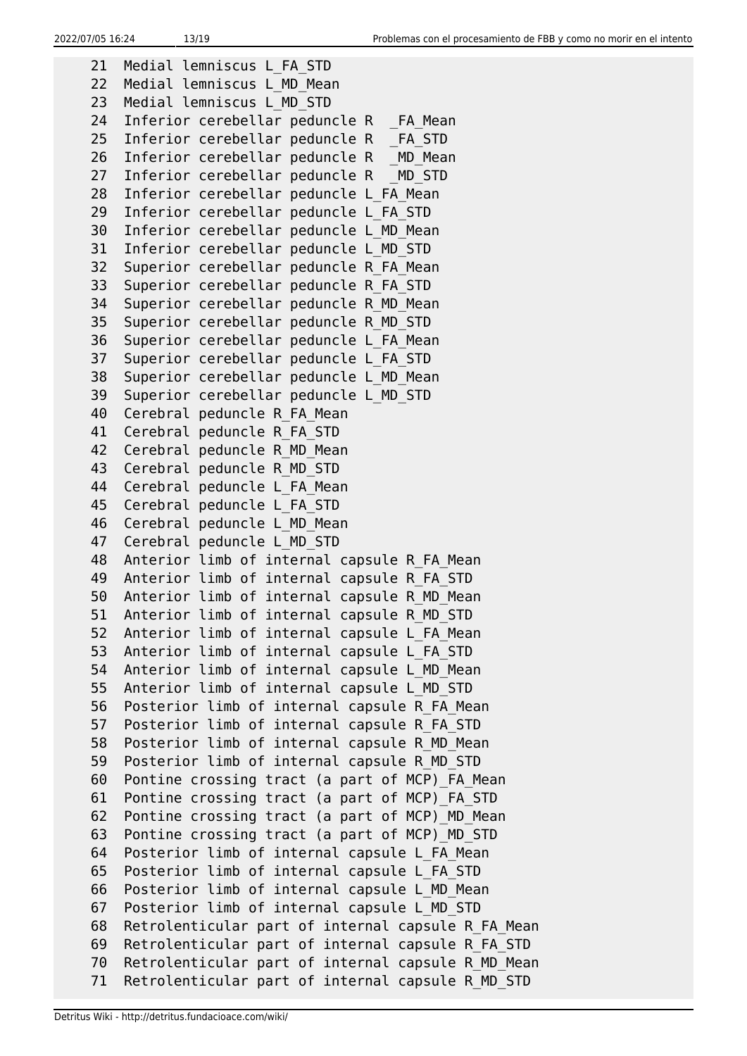21 Medial lemniscus L\_FA\_STD 22 Medial lemniscus L\_MD\_Mean 23 Medial lemniscus L\_MD\_STD 24 Inferior cerebellar peduncle R FA Mean 25 Inferior cerebellar peduncle R FA STD 26 Inferior cerebellar peduncle R \_MD Mean 27 Inferior cerebellar peduncle R \_ MD\_STD 28 Inferior cerebellar peduncle L\_FA\_Mean 29 Inferior cerebellar peduncle L\_FA\_STD 30 Inferior cerebellar peduncle L\_MD\_Mean 31 Inferior cerebellar peduncle L\_MD\_STD 32 Superior cerebellar peduncle R\_FA\_Mean 33 Superior cerebellar peduncle R\_FA\_STD 34 Superior cerebellar peduncle R\_MD\_Mean 35 Superior cerebellar peduncle R\_MD\_STD 36 Superior cerebellar peduncle L\_FA\_Mean 37 Superior cerebellar peduncle L\_FA\_STD 38 Superior cerebellar peduncle L\_MD\_Mean 39 Superior cerebellar peduncle L\_MD\_STD 40 Cerebral peduncle R\_FA\_Mean 41 Cerebral peduncle R\_FA\_STD 42 Cerebral peduncle R MD Mean 43 Cerebral peduncle R\_MD\_STD 44 Cerebral peduncle L FA Mean 45 Cerebral peduncle L\_FA\_STD 46 Cerebral peduncle L\_MD\_Mean 47 Cerebral peduncle L\_MD\_STD 48 Anterior limb of internal capsule R FA Mean 49 Anterior limb of internal capsule R\_FA\_STD 50 Anterior limb of internal capsule R\_MD\_Mean 51 Anterior limb of internal capsule R\_MD\_STD 52 Anterior limb of internal capsule L\_FA\_Mean 53 Anterior limb of internal capsule L\_FA\_STD 54 Anterior limb of internal capsule L\_MD\_Mean 55 Anterior limb of internal capsule L\_MD\_STD 56 Posterior limb of internal capsule R\_FA\_Mean 57 Posterior limb of internal capsule R\_FA\_STD 58 Posterior limb of internal capsule R\_MD\_Mean 59 Posterior limb of internal capsule R\_MD\_STD 60 Pontine crossing tract (a part of MCP)\_FA\_Mean 61 Pontine crossing tract (a part of MCP)\_FA\_STD 62 Pontine crossing tract (a part of MCP)\_MD\_Mean 63 Pontine crossing tract (a part of MCP)\_MD\_STD 64 Posterior limb of internal capsule L\_FA\_Mean 65 Posterior limb of internal capsule L\_FA\_STD 66 Posterior limb of internal capsule L\_MD\_Mean 67 Posterior limb of internal capsule L\_MD\_STD 68 Retrolenticular part of internal capsule R\_FA\_Mean 69 Retrolenticular part of internal capsule R\_FA\_STD 70 Retrolenticular part of internal capsule R\_MD\_Mean 71 Retrolenticular part of internal capsule R\_MD\_STD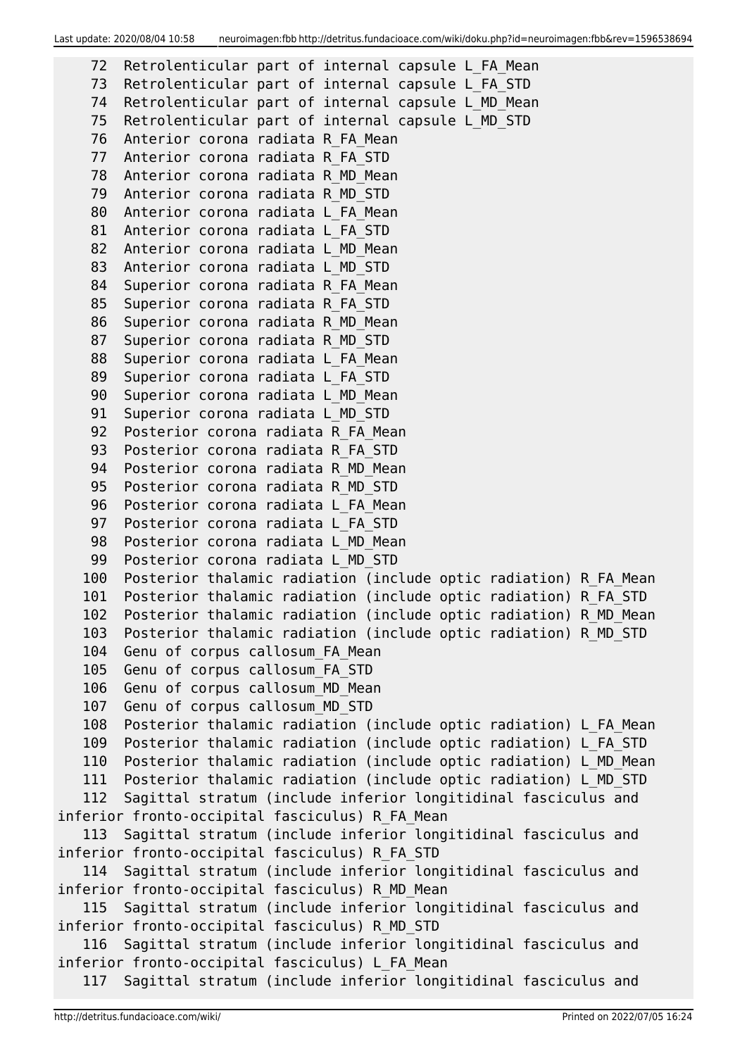```
 72 Retrolenticular part of internal capsule L_FA_Mean
    73 Retrolenticular part of internal capsule L_FA_STD
    74 Retrolenticular part of internal capsule L_MD_Mean
    75 Retrolenticular part of internal capsule L_MD_STD
    76 Anterior corona radiata R_FA_Mean
    77 Anterior corona radiata R_FA_STD
    78 Anterior corona radiata R_MD_Mean
    79 Anterior corona radiata R_MD_STD
    80 Anterior corona radiata L_FA_Mean
   81 Anterior corona radiata L FA STD
   82 Anterior corona radiata L MD Mean
   83 Anterior corona radiata L MD STD
   84 Superior corona radiata R FA Mean
   85 Superior corona radiata R FA STD
    86 Superior corona radiata R_MD_Mean
    87 Superior corona radiata R_MD_STD
   88 Superior corona radiata L FA Mean
   89 Superior corona radiata L FA STD
    90 Superior corona radiata L_MD_Mean
   91 Superior corona radiata L MD STD
   92 Posterior corona radiata R FA Mean
   93 Posterior corona radiata R FA STD
    94 Posterior corona radiata R_MD_Mean
    95 Posterior corona radiata R_MD_STD
    96 Posterior corona radiata L_FA_Mean
    97 Posterior corona radiata L_FA_STD
   98 Posterior corona radiata L MD Mean
    99 Posterior corona radiata L_MD_STD
   100 Posterior thalamic radiation (include optic radiation) R_FA_Mean
   101 Posterior thalamic radiation (include optic radiation) R_FA_STD
   102 Posterior thalamic radiation (include optic radiation) R_MD_Mean
   103 Posterior thalamic radiation (include optic radiation) R_MD_STD
   104 Genu of corpus callosum_FA_Mean
   105 Genu of corpus callosum_FA_STD
   106 Genu of corpus callosum_MD_Mean
   107 Genu of corpus callosum_MD_STD
   108 Posterior thalamic radiation (include optic radiation) L_FA_Mean
   109 Posterior thalamic radiation (include optic radiation) L_FA_STD
   110 Posterior thalamic radiation (include optic radiation) L_MD_Mean
   111 Posterior thalamic radiation (include optic radiation) L_MD_STD
   112 Sagittal stratum (include inferior longitidinal fasciculus and
inferior fronto-occipital fasciculus) R_FA_Mean
   113 Sagittal stratum (include inferior longitidinal fasciculus and
inferior fronto-occipital fasciculus) R_FA_STD
   114 Sagittal stratum (include inferior longitidinal fasciculus and
inferior fronto-occipital fasciculus) R_MD_Mean
   115 Sagittal stratum (include inferior longitidinal fasciculus and
inferior fronto-occipital fasciculus) R_MD_STD
   116 Sagittal stratum (include inferior longitidinal fasciculus and
inferior fronto-occipital fasciculus) L_FA_Mean
   117 Sagittal stratum (include inferior longitidinal fasciculus and
```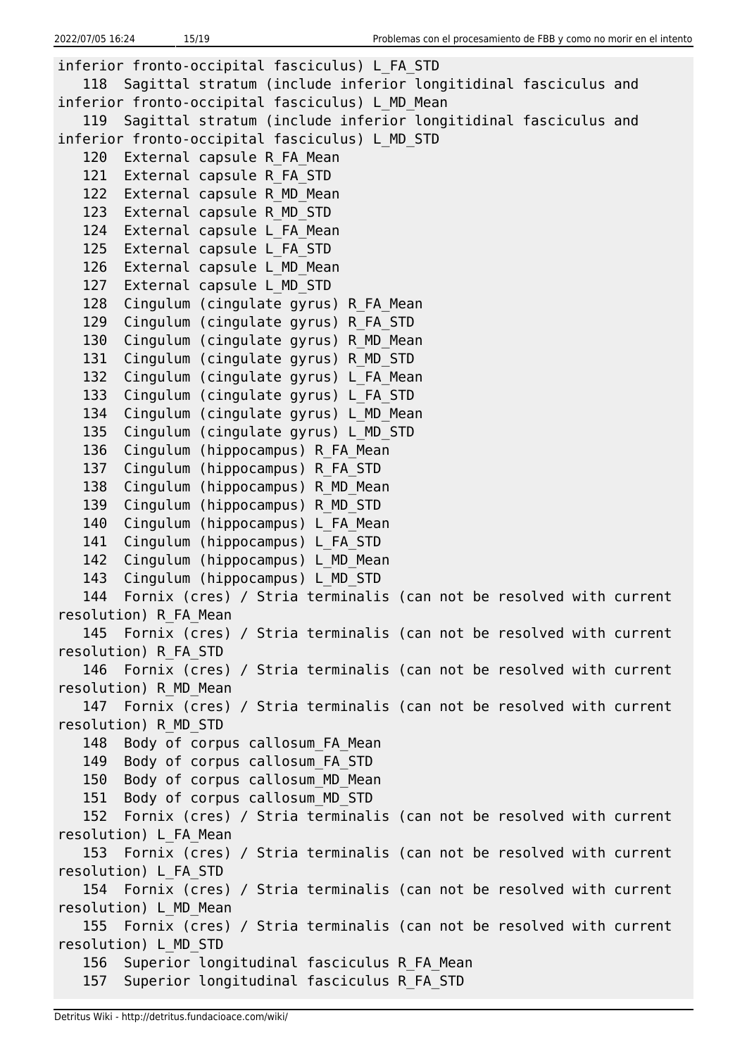```
inferior fronto-occipital fasciculus) L_FA_STD
   118 Sagittal stratum (include inferior longitidinal fasciculus and
inferior fronto-occipital fasciculus) L_MD_Mean
   119 Sagittal stratum (include inferior longitidinal fasciculus and
inferior fronto-occipital fasciculus) L_MD_STD
  120 External capsule R FA Mean
   121 External capsule R_FA_STD
  122 External capsule R MD Mean
   123 External capsule R_MD_STD
  124 External capsule L FA Mean
  125 External capsule L FA STD
  126 External capsule L MD Mean
   127 External capsule L_MD_STD
   128 Cingulum (cingulate gyrus) R_FA_Mean
   129 Cingulum (cingulate gyrus) R_FA_STD
   130 Cingulum (cingulate gyrus) R_MD_Mean
   131 Cingulum (cingulate gyrus) R_MD_STD
   132 Cingulum (cingulate gyrus) L_FA_Mean
   133 Cingulum (cingulate gyrus) L_FA_STD
   134 Cingulum (cingulate gyrus) L_MD_Mean
   135 Cingulum (cingulate gyrus) L_MD_STD
  136 Cingulum (hippocampus) R FA Mean
  137 Cingulum (hippocampus) R FA STD
  138 Cingulum (hippocampus) R MD Mean
  139 Cingulum (hippocampus) R MD STD
  140 Cingulum (hippocampus) L FA Mean
  141 Cingulum (hippocampus) L FA STD
  142 Cingulum (hippocampus) L MD Mean
  143 Cingulum (hippocampus) L MD STD
   144 Fornix (cres) / Stria terminalis (can not be resolved with current
resolution) R_FA_Mean
   145 Fornix (cres) / Stria terminalis (can not be resolved with current
resolution) R_FA_STD
   146 Fornix (cres) / Stria terminalis (can not be resolved with current
resolution) R_MD_Mean
   147 Fornix (cres) / Stria terminalis (can not be resolved with current
resolution) R_MD_STD
  148 Body of corpus callosum FA Mean
   149 Body of corpus callosum_FA_STD
   150 Body of corpus callosum_MD_Mean
   151 Body of corpus callosum_MD_STD
   152 Fornix (cres) / Stria terminalis (can not be resolved with current
resolution) L_FA_Mean
   153 Fornix (cres) / Stria terminalis (can not be resolved with current
resolution) L_FA_STD
   154 Fornix (cres) / Stria terminalis (can not be resolved with current
resolution) L_MD_Mean
   155 Fornix (cres) / Stria terminalis (can not be resolved with current
resolution) L_MD_STD
   156 Superior longitudinal fasciculus R_FA_Mean
   157 Superior longitudinal fasciculus R_FA_STD
```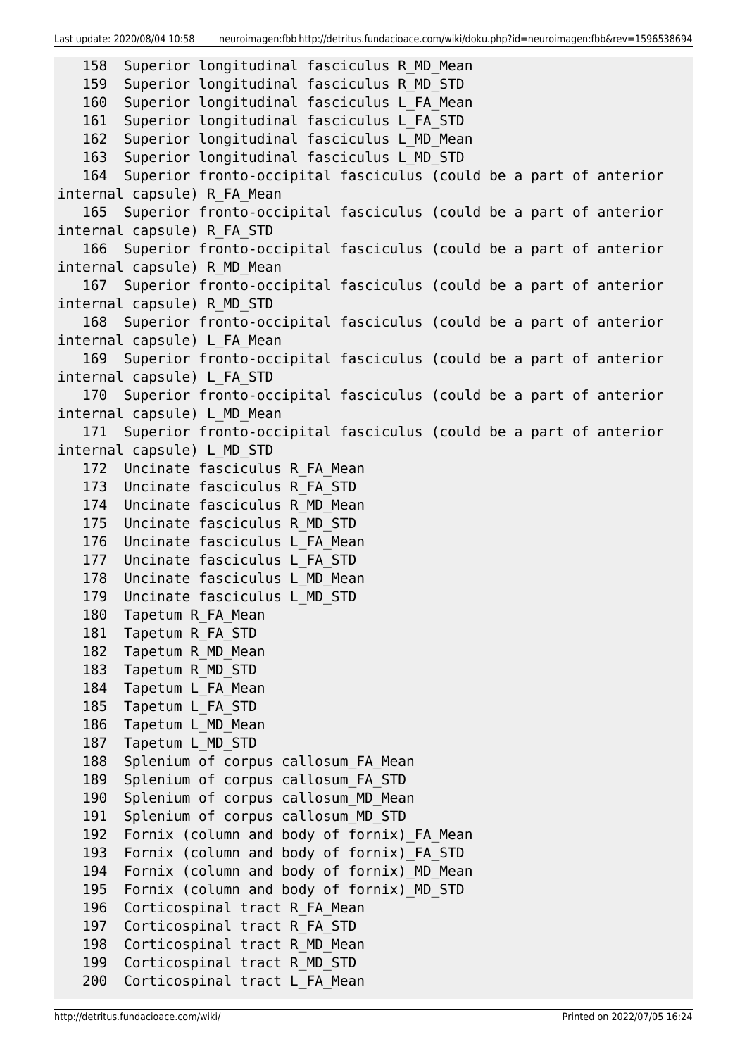Last update: 2020/08/04 10:58 neuroimagen:fbb http://detritus.fundacioace.com/wiki/doku.php?id=neuroimagen:fbb&rev=1596538694

```
 158 Superior longitudinal fasciculus R_MD_Mean
   159 Superior longitudinal fasciculus R_MD_STD
   160 Superior longitudinal fasciculus L_FA_Mean
   161 Superior longitudinal fasciculus L_FA_STD
   162 Superior longitudinal fasciculus L_MD_Mean
   163 Superior longitudinal fasciculus L_MD_STD
   164 Superior fronto-occipital fasciculus (could be a part of anterior
internal capsule) R_FA_Mean
   165 Superior fronto-occipital fasciculus (could be a part of anterior
internal capsule) R_FA_STD
   166 Superior fronto-occipital fasciculus (could be a part of anterior
internal capsule) R_MD_Mean
   167 Superior fronto-occipital fasciculus (could be a part of anterior
internal capsule) R_MD_STD
   168 Superior fronto-occipital fasciculus (could be a part of anterior
internal capsule) L_FA_Mean
   169 Superior fronto-occipital fasciculus (could be a part of anterior
internal capsule) L_FA_STD
   170 Superior fronto-occipital fasciculus (could be a part of anterior
internal capsule) L_MD_Mean
   171 Superior fronto-occipital fasciculus (could be a part of anterior
internal capsule) L_MD_STD
   172 Uncinate fasciculus R_FA_Mean
   173 Uncinate fasciculus R_FA_STD
   174 Uncinate fasciculus R_MD_Mean
   175 Uncinate fasciculus R_MD_STD
   176 Uncinate fasciculus L_FA_Mean
   177 Uncinate fasciculus L_FA_STD
   178 Uncinate fasciculus L_MD_Mean
   179 Uncinate fasciculus L_MD_STD
   180 Tapetum R_FA_Mean
   181 Tapetum R_FA_STD
   182 Tapetum R_MD_Mean
   183 Tapetum R_MD_STD
  184 Tapetum L FA Mean
   185 Tapetum L_FA_STD
   186 Tapetum L_MD_Mean
   187 Tapetum L_MD_STD
  188 Splenium of corpus callosum FA Mean
   189 Splenium of corpus callosum_FA_STD
   190 Splenium of corpus callosum_MD_Mean
   191 Splenium of corpus callosum_MD_STD
  192 Fornix (column and body of fornix) FA Mean
   193 Fornix (column and body of fornix)_FA_STD
  194 Fornix (column and body of fornix) MD Mean
   195 Fornix (column and body of fornix)_MD_STD
   196 Corticospinal tract R_FA_Mean
   197 Corticospinal tract R_FA_STD
  198 Corticospinal tract R MD Mean
   199 Corticospinal tract R_MD_STD
   200 Corticospinal tract L_FA_Mean
```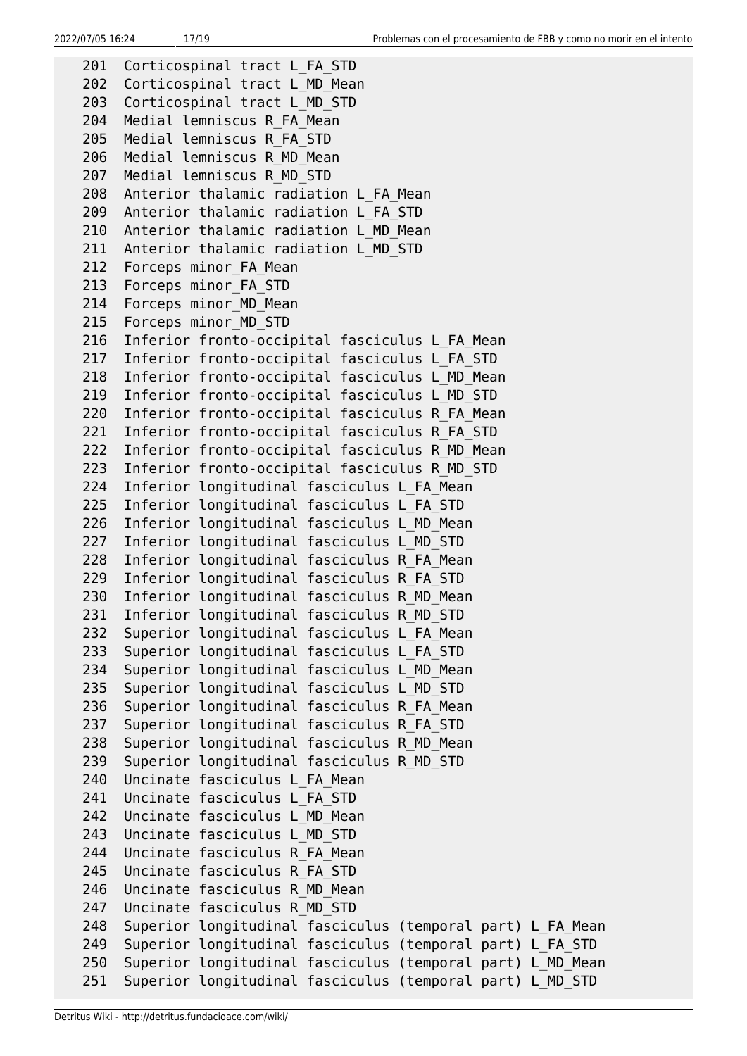```
201 Corticospinal tract L FA STD
 202 Corticospinal tract L_MD_Mean
 203 Corticospinal tract L_MD_STD
 204 Medial lemniscus R_FA_Mean
 205 Medial lemniscus R_FA_STD
 206 Medial lemniscus R_MD_Mean
 207 Medial lemniscus R_MD_STD
 208 Anterior thalamic radiation L_FA_Mean
 209 Anterior thalamic radiation L_FA_STD
 210 Anterior thalamic radiation L_MD_Mean
 211 Anterior thalamic radiation L_MD_STD
212 Forceps minor FA Mean
213 Forceps minor FA STD
214 Forceps minor MD Mean
215 Forceps minor MD STD
 216 Inferior fronto-occipital fasciculus L_FA_Mean
 217 Inferior fronto-occipital fasciculus L_FA_STD
 218 Inferior fronto-occipital fasciculus L_MD_Mean
 219 Inferior fronto-occipital fasciculus L_MD_STD
 220 Inferior fronto-occipital fasciculus R_FA_Mean
 221 Inferior fronto-occipital fasciculus R_FA_STD
 222 Inferior fronto-occipital fasciculus R_MD_Mean
 223 Inferior fronto-occipital fasciculus R_MD_STD
 224 Inferior longitudinal fasciculus L_FA_Mean
 225 Inferior longitudinal fasciculus L_FA_STD
 226 Inferior longitudinal fasciculus L_MD_Mean
 227 Inferior longitudinal fasciculus L_MD_STD
 228 Inferior longitudinal fasciculus R_FA_Mean
 229 Inferior longitudinal fasciculus R_FA_STD
 230 Inferior longitudinal fasciculus R_MD_Mean
 231 Inferior longitudinal fasciculus R_MD_STD
 232 Superior longitudinal fasciculus L_FA_Mean
 233 Superior longitudinal fasciculus L_FA_STD
 234 Superior longitudinal fasciculus L_MD_Mean
 235 Superior longitudinal fasciculus L_MD_STD
 236 Superior longitudinal fasciculus R_FA_Mean
 237 Superior longitudinal fasciculus R_FA_STD
 238 Superior longitudinal fasciculus R_MD_Mean
 239 Superior longitudinal fasciculus R_MD_STD
 240 Uncinate fasciculus L_FA_Mean
 241 Uncinate fasciculus L_FA_STD
 242 Uncinate fasciculus L_MD_Mean
 243 Uncinate fasciculus L_MD_STD
 244 Uncinate fasciculus R_FA_Mean
 245 Uncinate fasciculus R_FA_STD
 246 Uncinate fasciculus R_MD_Mean
 247 Uncinate fasciculus R_MD_STD
 248 Superior longitudinal fasciculus (temporal part) L_FA_Mean
 249 Superior longitudinal fasciculus (temporal part) L_FA_STD
 250 Superior longitudinal fasciculus (temporal part) L_MD_Mean
 251 Superior longitudinal fasciculus (temporal part) L_MD_STD
```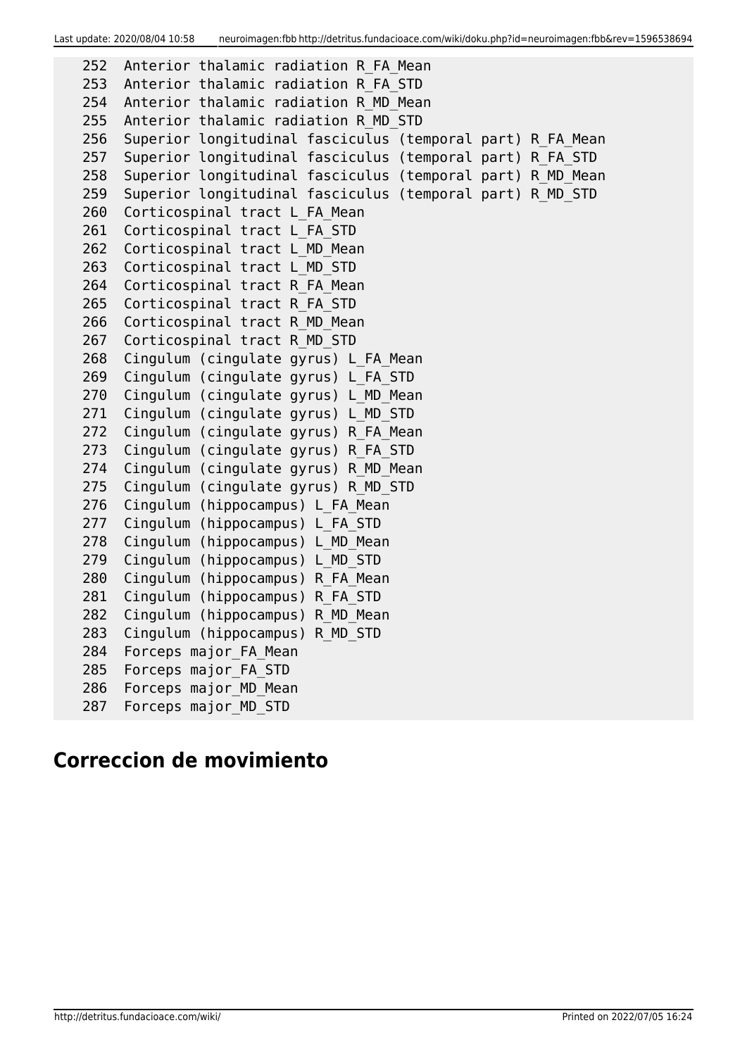Last update: 2020/08/04 10:58 neuroimagen:fbb http://detritus.fundacioace.com/wiki/doku.php?id=neuroimagen:fbb&rev=1596538694

```
 252 Anterior thalamic radiation R_FA_Mean
 253 Anterior thalamic radiation R_FA_STD
 254 Anterior thalamic radiation R_MD_Mean
 255 Anterior thalamic radiation R_MD_STD
 256 Superior longitudinal fasciculus (temporal part) R_FA_Mean
 257 Superior longitudinal fasciculus (temporal part) R_FA_STD
258 Superior longitudinal fasciculus (temporal part) R MD Mean
 259 Superior longitudinal fasciculus (temporal part) R_MD_STD
260 Corticospinal tract L FA Mean
261 Corticospinal tract L FA STD
262 Corticospinal tract L MD Mean
 263 Corticospinal tract L_MD_STD
264 Corticospinal tract R FA Mean
 265 Corticospinal tract R_FA_STD
 266 Corticospinal tract R_MD_Mean
 267 Corticospinal tract R_MD_STD
 268 Cingulum (cingulate gyrus) L_FA_Mean
 269 Cingulum (cingulate gyrus) L_FA_STD
 270 Cingulum (cingulate gyrus) L_MD_Mean
 271 Cingulum (cingulate gyrus) L_MD_STD
 272 Cingulum (cingulate gyrus) R_FA_Mean
 273 Cingulum (cingulate gyrus) R_FA_STD
 274 Cingulum (cingulate gyrus) R_MD_Mean
 275 Cingulum (cingulate gyrus) R_MD_STD
276 Cingulum (hippocampus) L FA Mean
277 Cingulum (hippocampus) L FA STD
278 Cingulum (hippocampus) L MD Mean
279 Cingulum (hippocampus) L MD STD
280 Cingulum (hippocampus) R FA Mean
281 Cingulum (hippocampus) R FA STD
282 Cingulum (hippocampus) R MD Mean
 283 Cingulum (hippocampus) R_MD_STD
284 Forceps major FA Mean
285 Forceps major FA STD
286 Forceps major MD Mean
287 Forceps major MD STD
```
# **Correccion de movimiento**